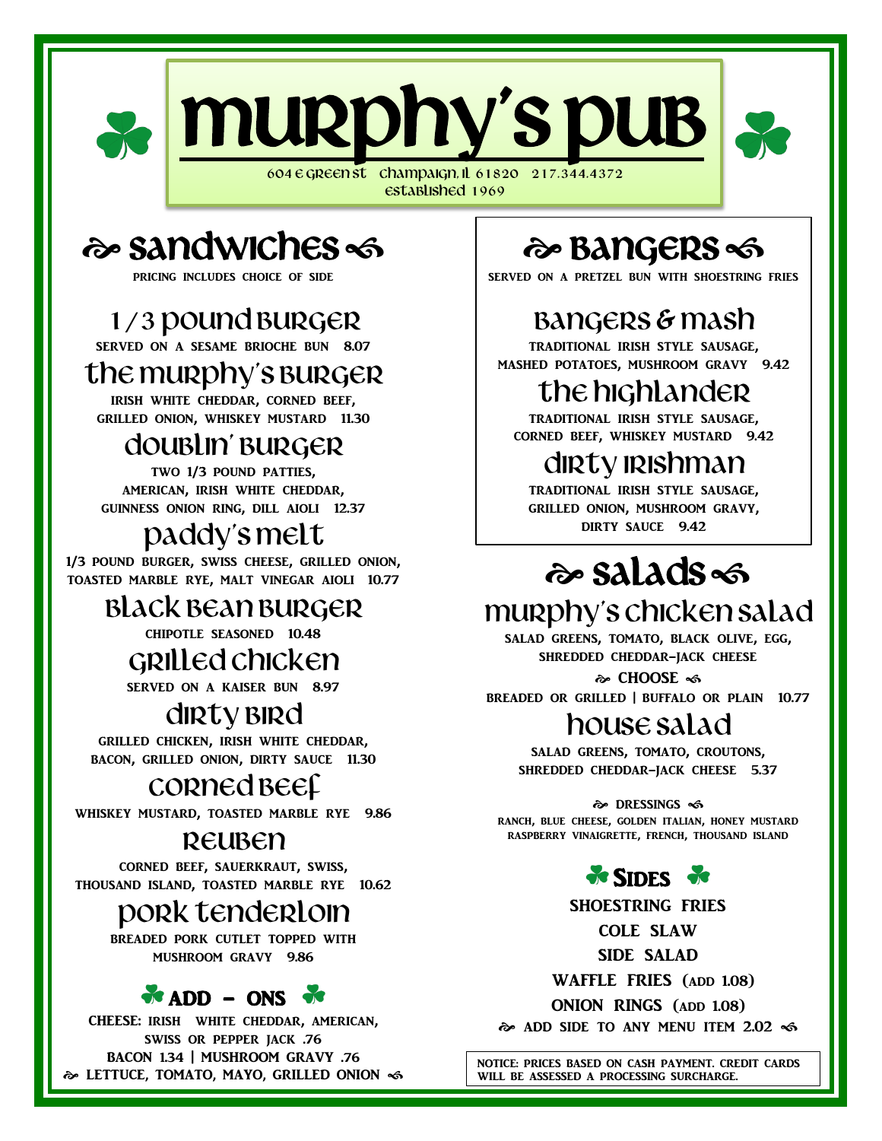

Established 1969

# 2 Sandwiches

pricing includes choice of side

## 1/3 pound burger

served on a sesame brioche bun 8.07

#### the murphy's Burger

irish white cheddar, corned beef, grilled onion, whiskey mustard 11.30

#### doublin' BURGER

two 1/3 pound patties, american, irish white cheddar, guinness onion ring, dill aioli 12.37

## Paddy's melt

1/3 pound burger, swiss cheese, grilled onion, toasted marble rye, malt vinegar aioli 10.77

#### black bean burger

chipotle seasoned 10.48

#### grilled chicken

served on a kaiser bun 8.97

## dirty BIRd

grilled chicken, irish white cheddar, bacon, grilled onion, dirty sauce 11.30

## CORNED BEE

whiskey mustard, toasted marble rye 9.86

#### REUBEN

corned beef, sauerkraut, swiss, thousand island, toasted marble rye 10.62

#### Pork tenderloin

breaded pork cutlet topped with mushroom gravy 9.86

#### $\bullet$  ADD - ONS  $\bullet$

CHEESE: irish white cheddar, american, swiss or pepper jack .76 BACON 1.34 | MUSHROOM GRAVY .76 LETTUCE, TOMATO, MAYO, GRILLED ONION

# � Bangers <

SERVED ON A PRETZEL BUN WITH SHOESTRING FRIES

# Bangers & mash

TRADITIONAL IRISH STYLE SAUSAGE,<br>MASHED POTATOES, MUSHROOM GRAVY 9.42 traditional irish style sausage,

# the highlander

 traditional irish style sausage, corned beef, whiskey mustard 9.42

# dirty irishman

 grilled onion, mushroom gravy, dirty sauce 9.42 traditional irish style sausage,

# salads

## Murphy's chicken salad

salad greens, tomato, black olive, egg, shredded cheddar-jack cheese

� CHOOSE ৰু breaded or grilled | buffalo or plain 10.77

## house salad

salad greens, tomato, croutons, shredded cheddar-jack cheese 5.37

o DRESSINGS <6 ranch, blue cheese, golden italian, honey mustard raspberry vinaigrette, french, thousand island

#### $\frac{1}{2}$  SIDES  $\frac{1}{2}$

shoestring fries cole slaw side salad waffle fries (add 1.08) onion rings (add 1.08)

 $\approx$  ADD SIDE TO ANY MENU ITEM 2.02  $\ll$ 

NOTICE: PRICES BASED ON CASH PAYMENT. CREDIT CARDS WILL BE ASSESSED A PROCESSING SURCHARGE.